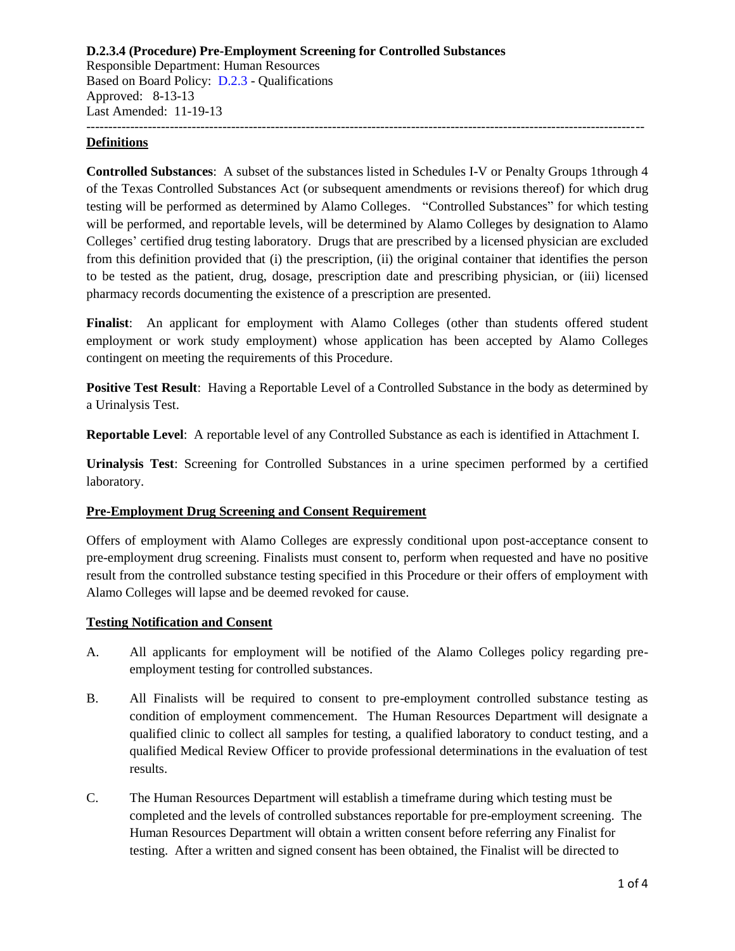## **Definitions**

**Controlled Substances**: A subset of the substances listed in Schedules I-V or Penalty Groups 1through 4 of the Texas Controlled Substances Act (or subsequent amendments or revisions thereof) for which drug testing will be performed as determined by Alamo Colleges. "Controlled Substances" for which testing will be performed, and reportable levels, will be determined by Alamo Colleges by designation to Alamo Colleges' certified drug testing laboratory. Drugs that are prescribed by a licensed physician are excluded from this definition provided that (i) the prescription, (ii) the original container that identifies the person to be tested as the patient, drug, dosage, prescription date and prescribing physician, or (iii) licensed pharmacy records documenting the existence of a prescription are presented.

**Finalist**: An applicant for employment with Alamo Colleges (other than students offered student employment or work study employment) whose application has been accepted by Alamo Colleges contingent on meeting the requirements of this Procedure.

**Positive Test Result**: Having a Reportable Level of a Controlled Substance in the body as determined by a Urinalysis Test.

**Reportable Level**: A reportable level of any Controlled Substance as each is identified in Attachment I.

**Urinalysis Test**: Screening for Controlled Substances in a urine specimen performed by a certified laboratory.

### **Pre-Employment Drug Screening and Consent Requirement**

Offers of employment with Alamo Colleges are expressly conditional upon post-acceptance consent to pre-employment drug screening. Finalists must consent to, perform when requested and have no positive result from the controlled substance testing specified in this Procedure or their offers of employment with Alamo Colleges will lapse and be deemed revoked for cause.

#### **Testing Notification and Consent**

- A. All applicants for employment will be notified of the Alamo Colleges policy regarding preemployment testing for controlled substances.
- B. All Finalists will be required to consent to pre-employment controlled substance testing as condition of employment commencement. The Human Resources Department will designate a qualified clinic to collect all samples for testing, a qualified laboratory to conduct testing, and a qualified Medical Review Officer to provide professional determinations in the evaluation of test results.
- C. The Human Resources Department will establish a timeframe during which testing must be completed and the levels of controlled substances reportable for pre-employment screening. The Human Resources Department will obtain a written consent before referring any Finalist for testing. After a written and signed consent has been obtained, the Finalist will be directed to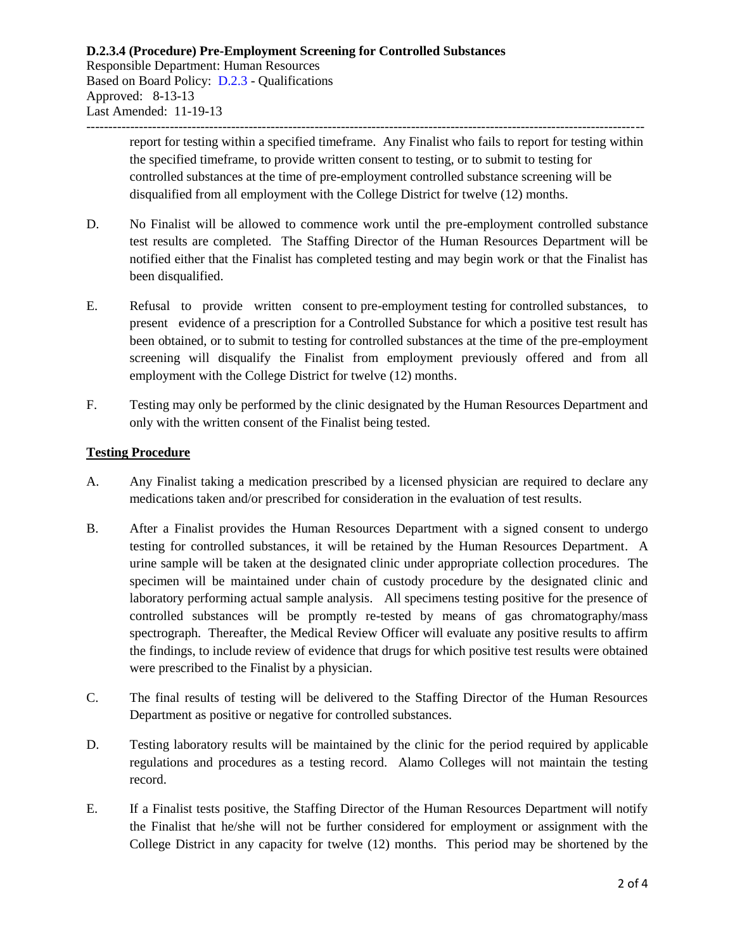report for testing within a specified timeframe. Any Finalist who fails to report for testing within the specified timeframe, to provide written consent to testing, or to submit to testing for controlled substances at the time of pre-employment controlled substance screening will be disqualified from all employment with the College District for twelve (12) months.

- D. No Finalist will be allowed to commence work until the pre-employment controlled substance test results are completed. The Staffing Director of the Human Resources Department will be notified either that the Finalist has completed testing and may begin work or that the Finalist has been disqualified.
- E. Refusal to provide written consent to pre-employment testing for controlled substances, to present evidence of a prescription for a Controlled Substance for which a positive test result has been obtained, or to submit to testing for controlled substances at the time of the pre-employment screening will disqualify the Finalist from employment previously offered and from all employment with the College District for twelve (12) months.
- F. Testing may only be performed by the clinic designated by the Human Resources Department and only with the written consent of the Finalist being tested.

### **Testing Procedure**

- A. Any Finalist taking a medication prescribed by a licensed physician are required to declare any medications taken and/or prescribed for consideration in the evaluation of test results.
- B. After a Finalist provides the Human Resources Department with a signed consent to undergo testing for controlled substances, it will be retained by the Human Resources Department. A urine sample will be taken at the designated clinic under appropriate collection procedures. The specimen will be maintained under chain of custody procedure by the designated clinic and laboratory performing actual sample analysis. All specimens testing positive for the presence of controlled substances will be promptly re-tested by means of gas chromatography/mass spectrograph. Thereafter, the Medical Review Officer will evaluate any positive results to affirm the findings, to include review of evidence that drugs for which positive test results were obtained were prescribed to the Finalist by a physician.
- C. The final results of testing will be delivered to the Staffing Director of the Human Resources Department as positive or negative for controlled substances.
- D. Testing laboratory results will be maintained by the clinic for the period required by applicable regulations and procedures as a testing record. Alamo Colleges will not maintain the testing record.
- E. If a Finalist tests positive, the Staffing Director of the Human Resources Department will notify the Finalist that he/she will not be further considered for employment or assignment with the College District in any capacity for twelve (12) months. This period may be shortened by the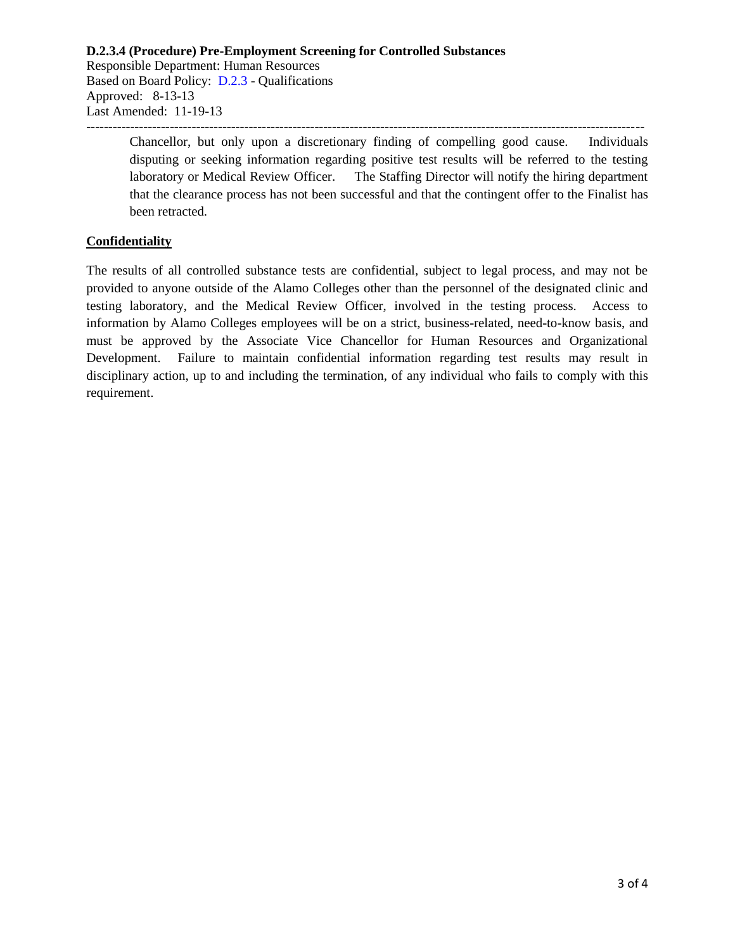Chancellor, but only upon a discretionary finding of compelling good cause. Individuals disputing or seeking information regarding positive test results will be referred to the testing laboratory or Medical Review Officer. The Staffing Director will notify the hiring department that the clearance process has not been successful and that the contingent offer to the Finalist has been retracted.

### **Confidentiality**

The results of all controlled substance tests are confidential, subject to legal process, and may not be provided to anyone outside of the Alamo Colleges other than the personnel of the designated clinic and testing laboratory, and the Medical Review Officer, involved in the testing process. Access to information by Alamo Colleges employees will be on a strict, business-related, need-to-know basis, and must be approved by the Associate Vice Chancellor for Human Resources and Organizational Development. Failure to maintain confidential information regarding test results may result in disciplinary action, up to and including the termination, of any individual who fails to comply with this requirement.